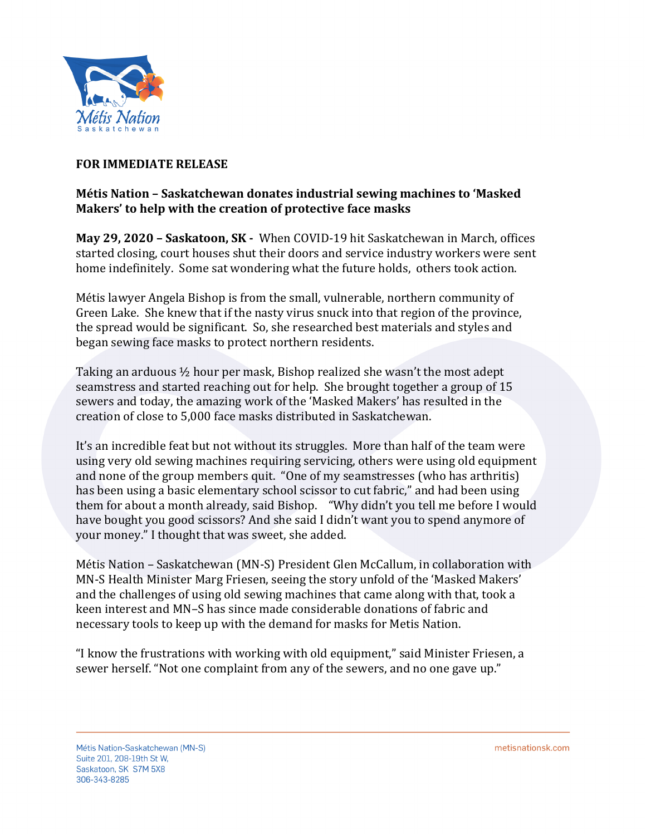

## **FOR IMMEDIATE RELEASE**

## **Métis Nation – Saskatchewan donates industrial sewing machines to 'Masked'** Makers' to help with the creation of protective face masks

**May 29, 2020 - Saskatoon, SK - When COVID-19 hit Saskatchewan in March, offices** started closing, court houses shut their doors and service industry workers were sent home indefinitely. Some sat wondering what the future holds, others took action.

Métis lawyer Angela Bishop is from the small, vulnerable, northern community of Green Lake. She knew that if the nasty virus snuck into that region of the province, the spread would be significant. So, she researched best materials and styles and began sewing face masks to protect northern residents.

Taking an arduous  $\frac{1}{2}$  hour per mask, Bishop realized she wasn't the most adept seamstress and started reaching out for help. She brought together a group of 15 sewers and today, the amazing work of the 'Masked Makers' has resulted in the creation of close to 5,000 face masks distributed in Saskatchewan.

It's an incredible feat but not without its struggles. More than half of the team were using very old sewing machines requiring servicing, others were using old equipment and none of the group members quit. "One of my seamstresses (who has arthritis) has been using a basic elementary school scissor to cut fabric," and had been using them for about a month already, said Bishop. "Why didn't you tell me before I would have bought you good scissors? And she said I didn't want you to spend anymore of your money." I thought that was sweet, she added.

Métis Nation – Saskatchewan (MN-S) President Glen McCallum, in collaboration with MN-S Health Minister Marg Friesen, seeing the story unfold of the 'Masked Makers' and the challenges of using old sewing machines that came along with that, took a keen interest and MN-S has since made considerable donations of fabric and necessary tools to keep up with the demand for masks for Metis Nation.

"I know the frustrations with working with old equipment," said Minister Friesen, a sewer herself. "Not one complaint from any of the sewers, and no one gave up."